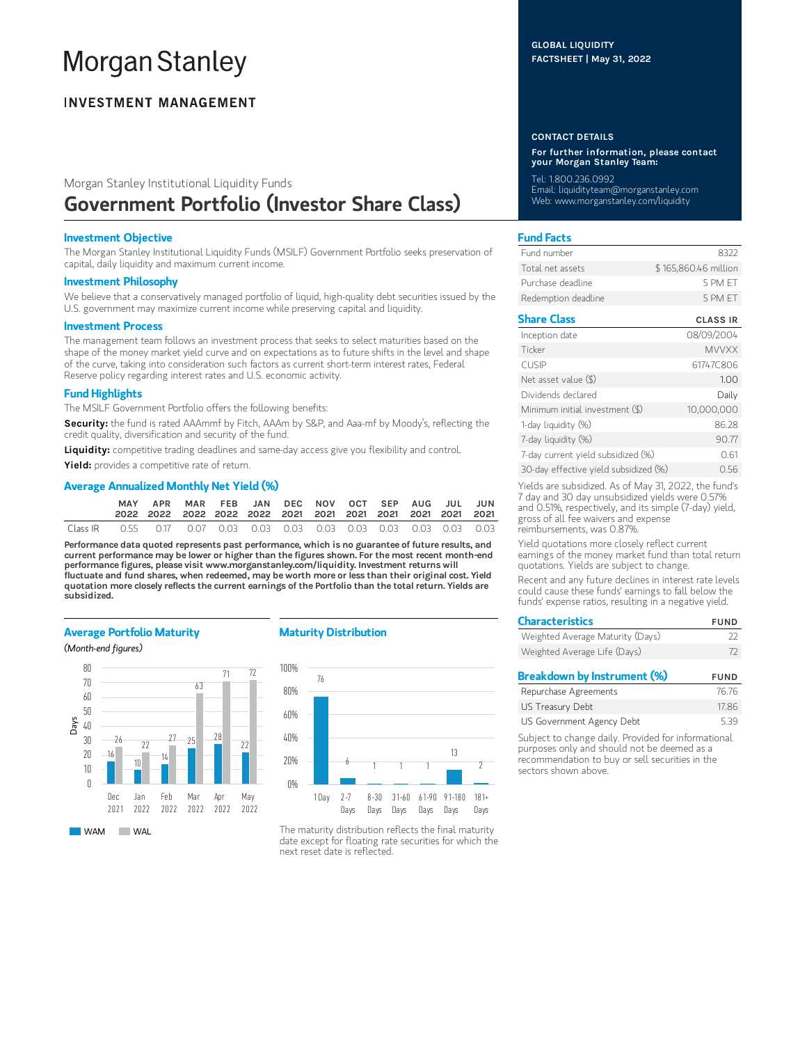# **Morgan Stanley**

## **INVESTMENT MANAGEMENT**

## Morgan Stanley Institutional Liquidity Funds Government Portfolio (Investor Share Class)

#### Investment Objective

The Morgan Stanley Institutional Liquidity Funds (MSILF) Government Portfolio seeks preservation of capital, daily liquidity and maximum current income.

#### Investment Philosophy

We believe that a conservatively managed portfolio of liquid, high-quality debt securities issued by the U.S. government may maximize current income while preserving capital and liquidity.

#### Investment Process

The management team follows an investment process that seeks to select maturities based on the shape of the money market yield curve and on expectations as to future shifts in the level and shape of the curve, taking into consideration such factors as current short-term interest rates, Federal Reserve policy regarding interest rates and U.S. economic activity.

#### Fund Highlights

The MSILF Government Portfolio offers the following benefits:

Security: the fund is rated AAAmmf by Fitch, AAAm by S&P, and Aaa-mf by Moody's, reflecting the credit quality, diversification and security of the fund.

Liquidity: competitive trading deadlines and same-day access give you flexibility and control.

Yield: provides a competitive rate of return.

#### Average Annualized Monthly Net Yield (%)

|          | APR |  | MAR FEB JAN DEC NOV OCT SEP AUG JUL JUN |  |  |  |  |
|----------|-----|--|-----------------------------------------|--|--|--|--|
| Class IR |     |  |                                         |  |  |  |  |

Performance data quoted represents past performance, which is no guarantee of future results, and current performance may be lower or higher than the figures shown. For the most recent month-end performance figures, please visit www.morganstanley.com/liquidity. Investment returns will fluctuate and fund shares, when redeemed, may be worth more or less than their original cost. Yield quotation more closely reflects the current earnings of the Portfolio than the total return. Yields are subsidized.

#### Average Portfolio Maturity

(Month-end figures)



#### Maturity Distribution



The maturity distribution reflects the final maturity date except for floating rate securities for which the next reset date is reflected.

#### CONTACT DETAILS

For further information, please contact your Morgan Stanley Team:

Tel: 1.800.236.0992 Email: liquidityteam@morganstanley.com Web: www.morganstanley.com/liquidity

#### Fund Facts

| Fund number         | 8322                 |
|---------------------|----------------------|
| Total net assets    | \$165,860,46 million |
| Purchase deadline.  | 5 PM FT              |
| Redemption deadline | 5 PM FT              |

### Share Class CLASS IR

| Inception date                        | 08/09/2004   |
|---------------------------------------|--------------|
| Ticker                                | <b>MVVXX</b> |
| <b>CUSIP</b>                          | 61747C806    |
| Net asset value $(\$)$                | 1.00         |
| Dividends declared                    | Daily        |
| Minimum initial investment (\$)       | 10.000.000   |
| 1-day liquidity (%)                   | 86.28        |
| 7-day liquidity (%)                   | 90.77        |
| 7-day current yield subsidized (%)    | 0.61         |
| 30-day effective yield subsidized (%) | 0.56         |

Yields are subsidized. As of May 31, 2022, the fund's 7 day and 30 day unsubsidized yields were 0.57% and 0.51%, respectively, and its simple (7-day) yield, gross of all fee waivers and expense reimbursements, was 0.87%.

Yield quotations more closely reflect current earnings of the money market fund than total return quotations. Yields are subject to change.

Recent and any future declines in interest rate levels could cause these funds' earnings to fall below the funds' expense ratios, resulting in a negative yield.

| <b>Characteristics</b>           | <b>FUND</b> |
|----------------------------------|-------------|
| Weighted Average Maturity (Days) | フフ          |
| Weighted Average Life (Days)     | 72          |
| Breakdown by Instrument (%)      | <b>FUND</b> |
| Repurchase Agreements            | 76.76       |

| Repurchase Agreements     | 10.10 |
|---------------------------|-------|
| US Treasury Debt          | 17.86 |
| US Government Agency Debt | 5.39  |

Subject to change daily. Provided for informational purposes only and should not be deemed as a recommendation to buy or sell securities in the sectors shown above.